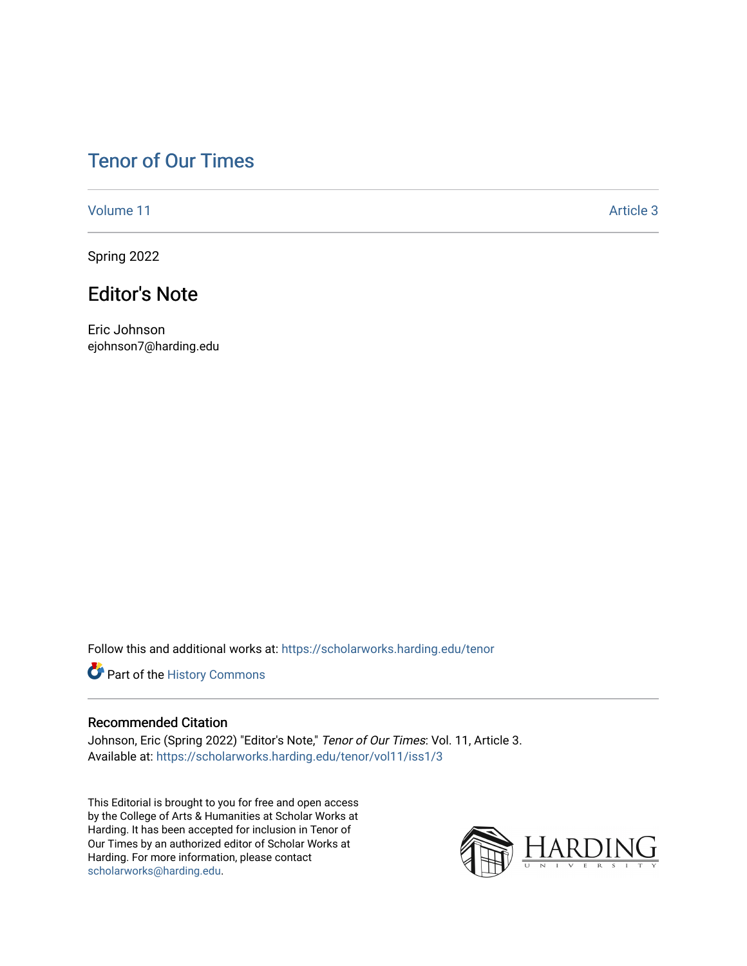## [Tenor of Our Times](https://scholarworks.harding.edu/tenor)

[Volume 11](https://scholarworks.harding.edu/tenor/vol11) Article 3

Spring 2022

## Editor's Note

Eric Johnson ejohnson7@harding.edu

Follow this and additional works at: [https://scholarworks.harding.edu/tenor](https://scholarworks.harding.edu/tenor?utm_source=scholarworks.harding.edu%2Ftenor%2Fvol11%2Fiss1%2F3&utm_medium=PDF&utm_campaign=PDFCoverPages)

Part of the [History Commons](http://network.bepress.com/hgg/discipline/489?utm_source=scholarworks.harding.edu%2Ftenor%2Fvol11%2Fiss1%2F3&utm_medium=PDF&utm_campaign=PDFCoverPages) 

## Recommended Citation

Johnson, Eric (Spring 2022) "Editor's Note," Tenor of Our Times: Vol. 11, Article 3. Available at: [https://scholarworks.harding.edu/tenor/vol11/iss1/3](https://scholarworks.harding.edu/tenor/vol11/iss1/3?utm_source=scholarworks.harding.edu%2Ftenor%2Fvol11%2Fiss1%2F3&utm_medium=PDF&utm_campaign=PDFCoverPages)

This Editorial is brought to you for free and open access by the College of Arts & Humanities at Scholar Works at Harding. It has been accepted for inclusion in Tenor of Our Times by an authorized editor of Scholar Works at Harding. For more information, please contact [scholarworks@harding.edu](mailto:scholarworks@harding.edu).